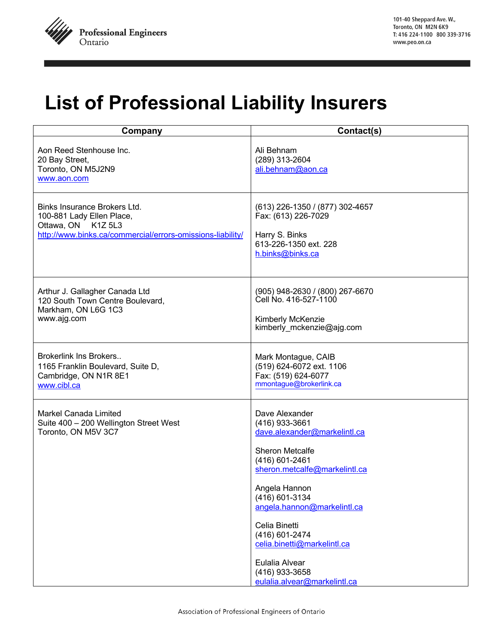

## **List of Professional Liability Insurers**

| Company                                                                                                                                       | Contact(s)                                                                                                                                                                                                                                                                                                                                     |
|-----------------------------------------------------------------------------------------------------------------------------------------------|------------------------------------------------------------------------------------------------------------------------------------------------------------------------------------------------------------------------------------------------------------------------------------------------------------------------------------------------|
| Aon Reed Stenhouse Inc.<br>20 Bay Street,<br>Toronto, ON M5J2N9<br>www.aon.com                                                                | Ali Behnam<br>(289) 313-2604<br>ali.behnam@aon.ca                                                                                                                                                                                                                                                                                              |
| Binks Insurance Brokers Ltd.<br>100-881 Lady Ellen Place,<br>Ottawa, ON K1Z 5L3<br>http://www.binks.ca/commercial/errors-omissions-liability/ | (613) 226-1350 / (877) 302-4657<br>Fax: (613) 226-7029<br>Harry S. Binks<br>613-226-1350 ext. 228<br>h.binks@binks.ca                                                                                                                                                                                                                          |
| Arthur J. Gallagher Canada Ltd<br>120 South Town Centre Boulevard,<br>Markham, ON L6G 1C3<br>www.ajg.com                                      | (905) 948-2630 / (800) 267-6670<br>Cell No. 416-527-1100<br>Kimberly McKenzie<br>kimberly mckenzie@ajg.com                                                                                                                                                                                                                                     |
| Brokerlink Ins Brokers<br>1165 Franklin Boulevard, Suite D,<br>Cambridge, ON N1R 8E1<br>www.cibl.ca                                           | Mark Montague, CAIB<br>(519) 624-6072 ext. 1106<br>Fax: (519) 624-6077<br>mmontague@brokerlink.ca                                                                                                                                                                                                                                              |
| <b>Markel Canada Limited</b><br>Suite 400 - 200 Wellington Street West<br>Toronto, ON M5V 3C7                                                 | Dave Alexander<br>(416) 933-3661<br>dave.alexander@markelintl.ca<br>Sheron Metcalfe<br>(416) 601-2461<br>sheron.metcalfe@markelintl.ca<br>Angela Hannon<br>(416) 601-3134<br>angela.hannon@markelintl.ca<br>Celia Binetti<br>(416) 601-2474<br>celia.binetti@markelintl.ca<br>Eulalia Alvear<br>(416) 933-3658<br>eulalia.alvear@markelintl.ca |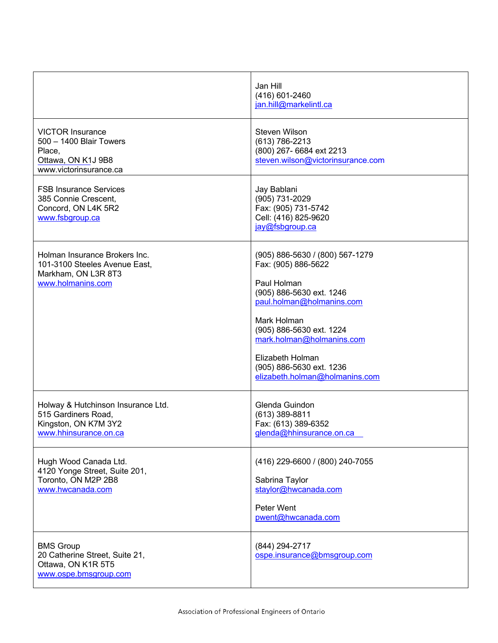|                                                                                                              | Jan Hill<br>(416) 601-2460<br>jan.hill@markelintl.ca                                                                                                                                                                                                                                     |
|--------------------------------------------------------------------------------------------------------------|------------------------------------------------------------------------------------------------------------------------------------------------------------------------------------------------------------------------------------------------------------------------------------------|
| <b>VICTOR Insurance</b><br>500 - 1400 Blair Towers<br>Place,<br>Ottawa, ON K1J 9B8<br>www.victorinsurance.ca | <b>Steven Wilson</b><br>(613) 786-2213<br>(800) 267- 6684 ext 2213<br>steven.wilson@victorinsurance.com                                                                                                                                                                                  |
| <b>FSB Insurance Services</b><br>385 Connie Crescent,<br>Concord, ON L4K 5R2<br>www.fsbgroup.ca              | Jay Bablani<br>(905) 731-2029<br>Fax: (905) 731-5742<br>Cell: (416) 825-9620<br>jay@fsbgroup.ca                                                                                                                                                                                          |
| Holman Insurance Brokers Inc.<br>101-3100 Steeles Avenue East,<br>Markham, ON L3R 8T3<br>www.holmanins.com   | (905) 886-5630 / (800) 567-1279<br>Fax: (905) 886-5622<br>Paul Holman<br>(905) 886-5630 ext. 1246<br>paul.holman@holmanins.com<br>Mark Holman<br>(905) 886-5630 ext. 1224<br>mark.holman@holmanins.com<br>Elizabeth Holman<br>(905) 886-5630 ext. 1236<br>elizabeth.holman@holmanins.com |
| Holway & Hutchinson Insurance Ltd.<br>515 Gardiners Road,<br>Kingston, ON K7M 3Y2<br>www.hhinsurance.on.ca   | Glenda Guindon<br>(613) 389-8811<br>Fax: (613) 389-6352<br>glenda@hhinsurance.on.ca                                                                                                                                                                                                      |
| Hugh Wood Canada Ltd.<br>4120 Yonge Street, Suite 201,<br>Toronto, ON M2P 2B8<br>www.hwcanada.com            | (416) 229-6600 / (800) 240-7055<br>Sabrina Taylor<br>staylor@hwcanada.com<br>Peter Went<br>pwent@hwcanada.com                                                                                                                                                                            |
| <b>BMS Group</b><br>20 Catherine Street, Suite 21,<br>Ottawa, ON K1R 5T5<br>www.ospe.bmsgroup.com            | (844) 294-2717<br>ospe.insurance@bmsgroup.com                                                                                                                                                                                                                                            |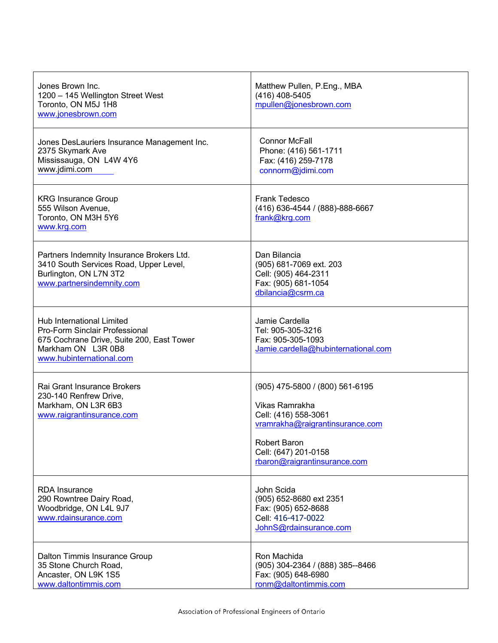| Jones Brown Inc.<br>1200 - 145 Wellington Street West<br>Toronto, ON M5J 1H8<br>www.jonesbrown.com                                                                | Matthew Pullen, P.Eng., MBA<br>(416) 408-5405<br>mpullen@jonesbrown.com                                                                                                              |
|-------------------------------------------------------------------------------------------------------------------------------------------------------------------|--------------------------------------------------------------------------------------------------------------------------------------------------------------------------------------|
| Jones DesLauriers Insurance Management Inc.<br>2375 Skymark Ave<br>Mississauga, ON L4W 4Y6<br>www.jdimi.com                                                       | <b>Connor McFall</b><br>Phone: (416) 561-1711<br>Fax: (416) 259-7178<br>connorm@jdimi.com                                                                                            |
| <b>KRG Insurance Group</b><br>555 Wilson Avenue,<br>Toronto, ON M3H 5Y6<br>www.krg.com                                                                            | Frank Tedesco<br>(416) 636-4544 / (888)-888-6667<br>frank@krg.com                                                                                                                    |
| Partners Indemnity Insurance Brokers Ltd.<br>3410 South Services Road, Upper Level,<br>Burlington, ON L7N 3T2<br>www.partnersindemnity.com                        | Dan Bilancia<br>(905) 681-7069 ext. 203<br>Cell: (905) 464-2311<br>Fax: (905) 681-1054<br>dbilancia@csrm.ca                                                                          |
| Hub International Limited<br><b>Pro-Form Sinclair Professional</b><br>675 Cochrane Drive, Suite 200, East Tower<br>Markham ON L3R 0B8<br>www.hubinternational.com | Jamie Cardella<br>Tel: 905-305-3216<br>Fax: 905-305-1093<br>Jamie.cardella@hubinternational.com                                                                                      |
| Rai Grant Insurance Brokers<br>230-140 Renfrew Drive,<br>Markham, ON L3R 6B3<br>www.raigrantinsurance.com                                                         | (905) 475-5800 / (800) 561-6195<br>Vikas Ramrakha<br>Cell: (416) 558-3061<br>vramrakha@raigrantinsurance.com<br>Robert Baron<br>Cell: (647) 201-0158<br>rbaron@raigrantinsurance.com |
| <b>RDA</b> Insurance<br>290 Rowntree Dairy Road,<br>Woodbridge, ON L4L 9J7<br>www.rdainsurance.com                                                                | John Scida<br>(905) 652-8680 ext 2351<br>Fax: (905) 652-8688<br>Cell: 416-417-0022<br>JohnS@rdainsurance.com                                                                         |
| Dalton Timmis Insurance Group<br>35 Stone Church Road,<br>Ancaster, ON L9K 1S5<br>www.daltontimmis.com                                                            | Ron Machida<br>(905) 304-2364 / (888) 385--8466<br>Fax: (905) 648-6980<br>ronm@daltontimmis.com                                                                                      |